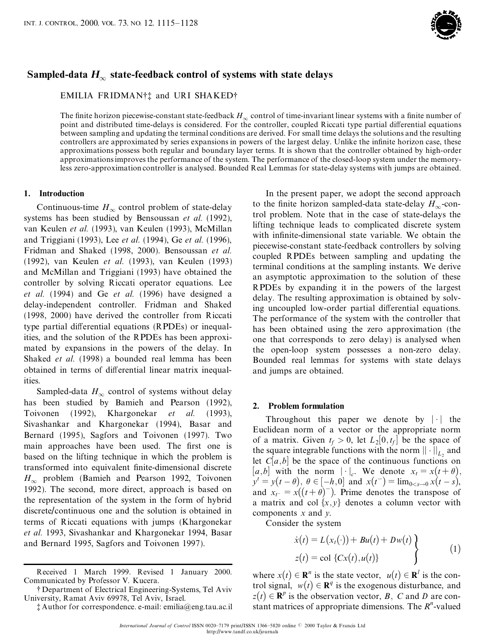

# Sampled-data  $H_{\infty}$  state-feedback control of systems with state delays

EMILIA FRIDMAN<sup>†</sup><sup>†</sup> and URI SHAKED<sup>†</sup>

The finite horizon piecewise-constant state-feedback  $H_{\infty}$  control of time-invariant linear systems with a finite number of point and distributed time-delays is considered. For the controller, coupled Riccati type partial differential equations between sampling and updating the terminal conditions are derived. For small time delays the solutions and the resulting controllers are approximated by series expansions in powers of the largest delay. Unlike the infinite horizon case, these approximations possess both regular and boundary layer terms. It is shown that the controller obtained by high-order approximationsimproves the performance of the system. The performance of the closed-loop system under the memoryless zero-approximation controller is analysed. Bounded Real Lemmas for state-delay systems with jumps are obtained.

## **1. Introduction**

Continuous-time  $H_{\infty}$  control problem of state-delay systems has been studied by Bensoussan *et al.* (1992), van Keulen *et al.* (1993), van Keulen (1993), McMillan and Triggiani (1993), Lee *et al.* (1994), Ge *et al.* (1996), Fridman and Shaked (1998, 2000). Bensoussan *et al.* (1992), van Keulen *et al.* (1993), van Keulen (1993) and McMillan and Triggiani (1993) have obtained the controller by solving Riccati operator equations. Lee *et al.* (1994) and Ge *et al.* (1996) have designed a delay-independent controller. Fridman and Shaked (1998, 2000) have derived the controller from Riccati type partial differential equations (RPDEs) or inequalities, and the solution of the RPDEs has been approximated by expansions in the powers of the delay. In Shaked *et al.* (1998) a bounded real lemma has been obtained in terms of differential linear matrix inequalities.

Sampled-data  $H_{\infty}$  control of systems without delay has been studied by Bamieh and Pearson (1992), Toivonen (1992), Khargonekar *et al.* (1993), Sivashankar and Khargonekar (1994), Basar and Bernard (1995), Sagfors and Toivonen (1997). Two main approaches have been used. The first one is based on the lifting technique in which the problem is transformed into equivalent finite-dimensional discrete  $H_{\infty}$  problem (Bamieh and Pearson 1992, Toivonen 1992). The second, more direct, approach is based on the representation of the system in the form of hybrid discrete/continuous one and the solution is obtained in terms of Riccati equations with jumps (Khargonekar *et al.* 1993, Sivashankar and Khargonekar 1994, Basar and Bernard 1995, Sagfors and Toivonen 1997).

Received 1 March 1999. Revised 1 January 2000. Communicated by Professor V. Kucera.

{ Department of Electrical Engineering-Systems, Tel Aviv University, Ramat Aviv 69978, Tel Aviv, Israel.

{ Author for correspondence. e-mail: emilia@eng.tau.ac.il

In the present paper, we adopt the second approach to the finite horizon sampled-data state-delay  $H_{\infty}$ -control problem. Note that in the case of state-delays the lifting technique leads to complicated discrete system with infinite-dimensional state variable. We obtain the piecewise-constant state-feedback controllers by solving coupled RPDEs between sampling and updating the terminal conditions at the sampling instants. We derive an asymptotic approximation to the solution of these RPDEs by expanding it in the powers of the largest delay. The resulting approximation is obtained by solving uncoupled low-order partial differential equations. The performance of the system with the controller that has been obtained using the zero approximation (the one that corresponds to zero delay) is analysed when the open-loop system possesses a non-zero delay. Bounded real lemmas for systems with state delays and jumps are obtained.

## **2. Problem formulation**

Throughout this paper we denote by  $|\cdot|$  the Euclidean norm of a vector or the appropriate norm of a matrix. Given  $t_f > 0$ , let  $L_2[0, t_f]$  be the space of the square integrable functions with the norm  $|| \cdot ||_{L_2}$  and let  $C[a,b]$  be the space of the continuous functions on [a,b] with the norm  $\|\cdot\|_{c}$ . We denote  $x_t = x(t+\theta)$ ,  $[a, b]$  with the norm  $|\cdot|_c$ . We denote  $x_t = x(t + \theta)$ ,<br>  $y' = y(t - \theta)$ ,  $\theta \in [-h, 0]$  and  $x(t^{-}) = \lim_{0 < s \to 0} x(t - s)$ ,  $y' = y(t - \theta)$ ,  $\theta \in [-h, 0]$  and  $x(t^-) = \lim_{0 \le s \to 0} x(t - s)$ , and  $x_{t^-} = x((t + \theta)^-)$ . Prime denotes the transpose of a matrix and col  $\{x, y\}$  denotes a column vector with components *x* and *y*.<br>Consider the system

$$
\dot{x}(t) = L(x_t(\cdot)) + Bu(t) + Dw(t)
$$
\n
$$
z(t) = \text{col }\{Cx(t), u(t)\}\tag{1}
$$

where  $x(t) \in \mathbb{R}^n$  is the state vector,  $u(t) \in \mathbb{R}^l$  is the control signal,  $w(t) \in \mathbb{R}^q$  is the exogenous disturbance, and  $z(t) \in \mathbb{R}^p$  is the observation vector, *B*, *C* and *D* are constant matrices of appropriate dimensions. The  $R<sup>n</sup>$ -valued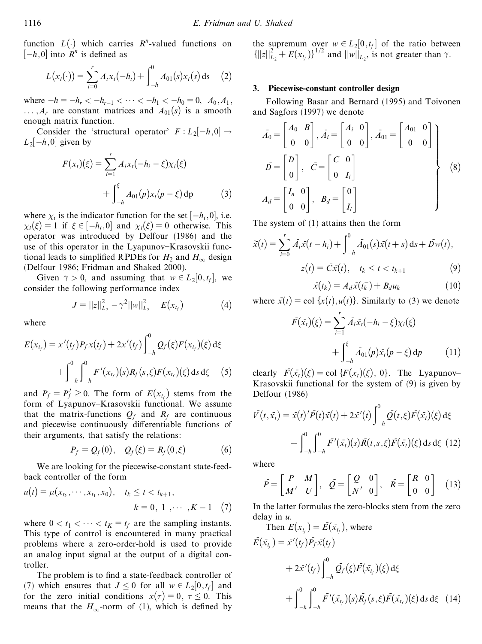function  $L(\cdot)$  which carries  $R^n$ -valued functions on  $[-h, 0]$  into  $\overrightarrow{R}^n$  is defined as

$$
L(x_t(\cdot)) = \sum_{i=0}^r A_i x_t(-h_i) + \int_{-h}^0 A_{01}(s) x_t(s) \, ds \quad (2)
$$

where  $-h = -h_r < -h_{r-1} < \cdots < -h_1 < -h_0 = 0$ ,  $A_0, A_1$ ,  $\ldots$ ,  $A_r$  are constant matrices and  $A_{01}(s)$  is a smooth enough matrix function.

Consider the 'structural operator'  $F: L_2[-h, 0] \rightarrow$  $L_2[-h, 0]$  given by

$$
F(x_t)(\xi) = \sum_{i=1}^r A_i x_i (-h_i - \xi) \chi_i(\xi)
$$
  
+ 
$$
\int_{-h}^{\xi} A_{01}(p) x_i (p - \xi) dp
$$
 (3)

where  $\chi_i$  is the indicator function for the set  $[-h_i, 0]$ , i.e.  $\chi_i(\xi) = 1$  if  $\xi \in [-h_i, 0]$  and  $\chi_i(\xi) = 0$  otherwise. This operator was introduced by Delfour (1986) and the use of this operator in the Lyapunov–Krasovskii functional leads to simplified RPDEs for  $H_2$  and  $H_{\infty}$  design (Delfour 1986; Fridman and Shaked 2000).

Given  $\gamma > 0$ , and assuming that  $w \in L_2[0, t_f]$ , we consider the following performance index

$$
J = ||z||_{L_2}^2 - \gamma^2 ||w||_{L_2}^2 + E(x_{t_f})
$$
 (4)

where

$$
E(x_{t_f}) = x'(t_f)P_f x(t_f) + 2x'(t_f) \int_{-h}^{0} Q_f(\xi) F(x_{t_f})(\xi) d\xi
$$
  
+ 
$$
\int_{-h}^{0} \int_{-h}^{0} F'(x_{t_f})(s) R_f(s, \xi) F(x_{t_f})(\xi) ds d\xi
$$
 (5)

and  $P_f = P'_f \ge 0$ . The form of  $E(x_{t_f})$  stems from the form of Lyapunov-Krasovskii functional. We assume that the matrix-functions  $Q_f$  and  $R_f$  are continuous and piecewise continuously differentiable functions of their arguments, that satisfy the relations:

$$
P_f = Q_f(0), \quad Q_f(\xi) = R_f(0,\xi) \tag{6}
$$

We are looking for the piecewise-constant state-feedback controller of the form

$$
u(t) = \mu(x_{t_k}, \cdots, x_{t_1}, x_0), \quad t_k \le t < t_{k+1},
$$
  

$$
k = 0, 1, \cdots, K - 1 \quad (7)
$$

where  $0 < t_1 < \cdots < t_K = t_f$  are the sampling instants. This type of control is encountered in many practical problems where a zero-order-hold is used to provide an analog input signal at the output of a digital controller.

The problem is to find a state-feedback controller of (7) which ensures that  $J \le 0$  for all  $w \in L_2[0, t_f]$  and for the zero initial conditions  $x(\tau) = 0, \tau \le 0$ . This means that the  $H_{\infty}$ -norm of (1), which is defined by

the supremum over  $w \in L_2[0,t_f]$  of the ratio between  $\{||z||_{L_2}^2 + E(x_{t_f})\}^{1/2}$  and  $||w||_{L_2}$ , is not greater than  $\gamma$ .

## **3. Piecewise-constant controller design**

Following Basar and Bernard (1995) and Toivonen and Sagfors (1997) we denote

$$
\bar{A}_0 = \begin{bmatrix} A_0 & B \\ 0 & 0 \end{bmatrix}, \bar{A}_i = \begin{bmatrix} A_i & 0 \\ 0 & 0 \end{bmatrix}, \bar{A}_{01} = \begin{bmatrix} A_{01} & 0 \\ 0 & 0 \end{bmatrix}
$$

$$
\bar{D} = \begin{bmatrix} D \\ 0 \end{bmatrix}, \quad \bar{C} = \begin{bmatrix} C & 0 \\ 0 & I_l \end{bmatrix}
$$

$$
A_d = \begin{bmatrix} I_n & 0 \\ 0 & 0 \end{bmatrix}, \quad B_d = \begin{bmatrix} 0 \\ I_l \end{bmatrix}
$$
(8)

The system of (1) attains then the form

$$
\dot{x}(t) = \sum_{i=0}^{r} \bar{A}_i \bar{x}(t - h_i) + \int_{-h}^{0} \bar{A}_{01}(s) \bar{x}(t + s) \, ds + \bar{D}_W(t),
$$
\n
$$
z(t) = \bar{C} \bar{x}(t), \quad t_k \le t < t_{k+1} \tag{9}
$$

$$
\bar{x}(t_k) = A_d \bar{x}(t_k^-) + B_d u_k \tag{10}
$$

where  $\bar{x}(t) = \text{col } \{x(t), u(t)\}\)$ . Similarly to (3) we denote

$$
\bar{F}(\bar{x}_t)(\xi) = \sum_{i=1}^r \bar{A}_i \bar{x}_t (-h_i - \xi) \chi_i(\xi) + \int_{-h}^{\xi} \bar{A}_{01}(p) \bar{x}_t (p - \xi) dp \qquad (11)
$$

clearly  $\bar{F}(\bar{x}_t)(\xi) = \text{col } \{F(x_t)(\xi), 0\}$ . The Lyapunov-<br>Krasovskii functional for the system of (9) is given by Delfour (1986)

$$
\bar{V}(t,\bar{x}_t) = \bar{x}(t)' \bar{P}(t)\bar{x}(t) + 2\bar{x}'(t) \int_{-h}^{0} \bar{Q}(t,\xi) \bar{F}(\bar{x}_t)(\xi) d\xi \n+ \int_{-h}^{0} \int_{-h}^{0} \bar{F}'(\bar{x}_t)(s) \bar{R}(t,s,\xi) \bar{F}(\bar{x}_t)(\xi) ds d\xi
$$
(12)

where

$$
\overline{P} = \begin{bmatrix} P & M \\ M' & U \end{bmatrix}, \quad \overline{Q} = \begin{bmatrix} Q & 0 \\ N' & 0 \end{bmatrix}, \quad \overline{R} = \begin{bmatrix} R & 0 \\ 0 & 0 \end{bmatrix} \quad (13)
$$

In the latter formulas the zero-blocks stem from the zero

delay in *u*.<br>Then  $E(x_{t_f}) = \overline{E}(\overline{x}_{t_f})$ , where  $\bar{E}(\bar{x}_{t_f}) = \bar{x}'(t_f)\bar{P_f}\bar{x}(t_f)$  $+ 2\bar{x}'(t_f) \Big|_{t}^{t}$  $\int_0^0$  $\int_{-h}^{0} Q_{f}(\xi) \bar{F}(\bar{x}_{t_{f}})(\xi) d\xi$  $+$   $|$   $|$  $\int_0^0$  $-h$  J  $\int_0^0$  $-h$  $\bar{F}'(\bar{x}_{t_f})(s)\bar{R}_f(s,\xi)\bar{F}(\bar{x}_{t_f})(\xi)\,\mathrm{d}s\,\mathrm{d}\xi$  (14)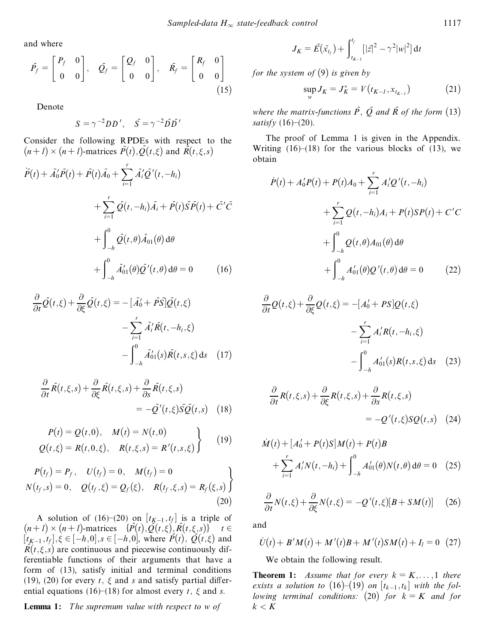and where

$$
\bar{P_f} = \begin{bmatrix} P_f & 0 \\ 0 & 0 \end{bmatrix}, \quad \bar{Q_f} = \begin{bmatrix} Q_f & 0 \\ 0 & 0 \end{bmatrix}, \quad \bar{R_f} = \begin{bmatrix} R_f & 0 \\ 0 & 0 \end{bmatrix}
$$
\n(15)

Denote

$$
S = \gamma^{-2} D D', \quad \bar{S} = \gamma^{-2} \bar{D} \bar{D'}
$$

Consider the following RPDEs with respect to the  $(n+1) \times (n+1)$ -matrices  $\overline{P}(t), \overline{Q}(t,\xi)$  and  $\overline{R}(t,\xi,s)$ 

$$
\overline{P}(t) + \overline{A}'_0 \overline{P}(t) + \overline{P}(t) \overline{A}_0 + \sum_{i=1}^r \overline{A}'_i \overline{Q}'(t, -h_i) \n+ \sum_{i=1}^r \overline{Q}(t, -h_i) \overline{A}_i + \overline{P}(t) \overline{S} \overline{P}(t) + \overline{C}' \overline{C} \n+ \int_{-h}^0 \overline{Q}(t, \theta) \overline{A}_{01}(\theta) d\theta \n+ \int_{-h}^0 \overline{A}'_{01}(\theta) \overline{Q}'(t, \theta) d\theta = 0
$$
\n(16)

$$
\frac{\partial}{\partial t}\overline{Q}(t,\xi) + \frac{\partial}{\partial \xi}\overline{Q}(t,\xi) = -[\overline{A}'_0 + \overline{P}\overline{S}]\overline{Q}(t,\xi) \n- \sum_{i=1}^r \overline{A}'_i \overline{R}(t, -h_i, \xi) \n- \int_{-h}^0 \overline{A}'_{01}(s)\overline{R}(t,s,\xi) ds \quad (17)
$$

$$
\frac{\partial}{\partial t}\bar{R}(t,\xi,s) + \frac{\partial}{\partial \xi}\bar{R}(t,\xi,s) + \frac{\partial}{\partial s}\bar{R}(t,\xi,s) \n= -\bar{Q}'(t,\xi)\bar{S}\bar{Q}(t,s) \quad (18)
$$

$$
P(t) = Q(t,0), \quad M(t) = N(t,0)
$$
  
 
$$
Q(t,\xi) = R(t,0,\xi), \quad R(t,\xi,s) = R'(t,s,\xi)
$$
 (19)

$$
P(t_f) = P_f, \quad U(t_f) = 0, \quad M(t_f) = 0
$$
  

$$
N(t_f, s) = 0, \quad Q(t_f, \xi) = Q_f(\xi), \quad R(t_f, \xi, s) = R_f(\xi, s)
$$
  
(20)

A solution of  $(16)$   $(20)$  on  $[t_{K-1}, t_f]$  is a triple of  $(n+1) \times (n+1)$ -matrices  $\{P(t), Q(t, \xi), R(t, \xi, s)\}$ ,  $t \in$  $[t_{K-1}, t_f]$ ,  $\xi \in [-h, 0]$ ,  $s \in [-h, 0]$ , where  $P(t)$ ,  $Q(t, \xi)$  and  $R(t,\xi,s)$  are continuous and piecewise continuously differentiable functions of their arguments that have a form of (13), satisfy initial and terminal conditions (19), (20) for every  $t$ ,  $\xi$  and  $s$  and satisfy partial differential equations (16)–(18) for almost every  $t$ ,  $\xi$  and  $s$ .

**Lemma 1:** *The supremum value with respect to w of*

$$
J_K = \bar{E}(\bar{x}_{t_f}) + \int_{t_{K-1}}^{t_f} [|z|^2 - \gamma^2 |w|^2] dt
$$

*for the system of*  $(9)$  *is given by* 

$$
\sup_{W} J_{K} = J_{K}^{*} = V(t_{K-I}, x_{t_{K-I}})
$$
\n(21)

*where the matrix-functions*  $\overline{P}$ ,  $\overline{Q}$  *and*  $\overline{R}$  *of the form* (13)  $satisfy(16)–(20).$ 

The proof of Lemma 1 is given in the Appendix. Writing  $(16)$ – $(18)$  for the various blocks of  $(13)$ , we obtain

$$
\dot{P}(t) + A'_0 P(t) + P(t)A_0 + \sum_{i=1}^r A'_i Q'(t, -h_i) \n+ \sum_{i=1}^r Q(t, -h_i)A_i + P(t)SP(t) + C'C \n+ \int_{-h}^0 Q(t, \theta)A_{01}(\theta) d\theta \n+ \int_{-h}^0 A'_{01}(\theta)Q'(t, \theta) d\theta = 0
$$
\n(22)

$$
\frac{\partial}{\partial t}Q(t,\xi) + \frac{\partial}{\partial \xi}Q(t,\xi) = -[A'_0 + PS]Q(t,\xi)
$$

$$
-\sum_{i=1}^r A'_i R(t,-h_i,\xi)
$$

$$
-\int_{-h}^0 A'_0(s)R(t,s,\xi) ds \quad (23)
$$

$$
\frac{\partial}{\partial t}R(t,\xi,s) + \frac{\partial}{\partial \xi}R(t,\xi,s) + \frac{\partial}{\partial s}R(t,\xi,s)
$$
  
= -Q'(t,\xi)SQ(t,s) (24)

$$
\dot{M}(t) + [A'_0 + P(t)S]M(t) + P(t)B \n+ \sum_{i=1}^r A'_i N(t, -h_i) + \int_{-h}^0 A'_{01}(\theta) N(t, \theta) d\theta = 0
$$
 (25)

$$
\frac{\partial}{\partial t}N(t,\xi) + \frac{\partial}{\partial \xi}N(t,\xi) = -Q'(t,\xi)[B + SM(t)] \quad (26)
$$

and

$$
\dot{U}(t) + B'M(t) + M'(t)B + M'(t)SM(t) + I_l = 0
$$
 (27)

We obtain the following result.

**Theorem 1:** *Assume that for every*  $k = K, \ldots, 1$  *there exists a solution to* (16)–(19) *on*  $[t_{k-1}, t_k]$  *with the following terminal conditions:* (20) *for*  $k = K$  *and for*  $k < K$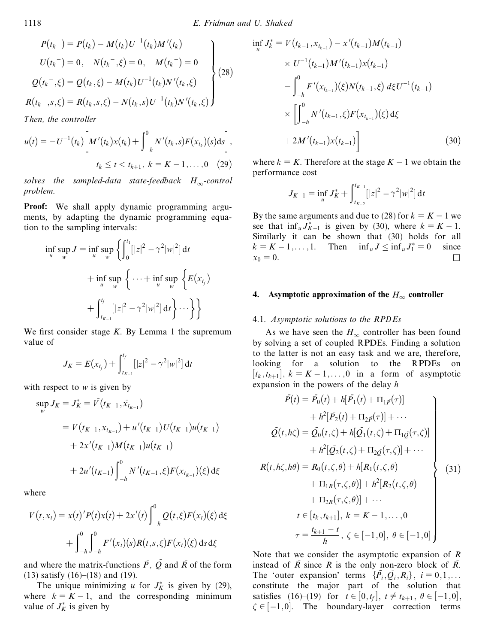$$
P(t_k^-) = P(t_k) - M(t_k)U^{-1}(t_k)M'(t_k)
$$
  
\n
$$
U(t_k^-) = 0, \quad N(t_k^-, \xi) = 0, \quad M(t_k^-) = 0
$$
  
\n
$$
Q(t_k^-, \xi) = Q(t_k, \xi) - M(t_k)U^{-1}(t_k)N'(t_k, \xi)
$$
  
\n
$$
R(t_k^-, s, \xi) = R(t_k, s, \xi) - N(t_k, s)U^{-1}(t_k)N'(t_k, \xi)
$$
 (28)

*Then, the controller*

$$
u(t) = -U^{-1}(t_k) \bigg[ M'(t_k) x(t_k) + \int_{-h}^{0} N'(t_k, s) F(x_{t_k})(s) ds \bigg],
$$
  

$$
t_k \le t < t_{k+1}, k = K - 1, ..., 0 \quad (29)
$$

*solves the sampled-data state-feedback*  $H_{\infty}$ -control *problem.*

**Proof:** We shall apply dynamic programming arguments, by adapting the dynamic programming equation to the sampling intervals:

$$
\inf_{u} \sup_{w} J = \inf_{u} \sup_{w} \left\{ \int_{0}^{t_{1}} [|z|^{2} - \gamma^{2}|w|^{2}] dt + \inf_{u} \sup_{w} \left\{ \dots + \inf_{u} \sup_{w} \left\{ E(x_{t_{f}}) + \int_{t_{K-1}}^{t_{f}} [|z|^{2} - \gamma^{2}|w|^{2}] dt \right\} \dots \right\}
$$

We first consider stage  $K$ . By Lemma 1 the supremum value of

$$
J_K = E(x_{t_f}) + \int_{t_{K-1}}^{t_f} [|z|^2 - \gamma^2 |w|^2] dt
$$

with respect to *w* is given by

$$
\sup_{w} J_{K} = J_{K}^{*} = V(t_{K-1}, \bar{x}_{t_{K-1}})
$$
  
=  $V(t_{K-1}, x_{t_{K-1}}) + u'(t_{K-1})U(t_{K-1})u(t_{K-1})$   
+  $2x'(t_{K-1})M(t_{K-1})u(t_{K-1})$   
+  $2u'(t_{K-1})\int_{-h}^{0} N'(t_{K-1}, \xi)F(x_{t_{K-1}})(\xi) d\xi$ 

where

$$
V(t, x_t) = x(t)'P(t)x(t) + 2x'(t)\int_{-h}^{0} Q(t, \xi)F(x_t)(\xi) d\xi
$$
  
+ 
$$
\int_{-h}^{0} \int_{-h}^{0} F'(x_t)(s)R(t, s, \xi)F(x_t)(\xi) ds d\xi
$$

and where the matrix-functions  $\overline{P}$ ,  $\overline{Q}$  and  $\overline{R}$  of the form  $(13)$  satisfy  $(16)–(18)$  and  $(19)$ .

The unique minimizing *u* for  $J_K^*$  is given by (29), value of  $J_K^*$  is given by

$$
\inf_{u} J_{k}^{*} = V(t_{k-1}, x_{t_{k-1}}) - x'(t_{k-1})M(t_{k-1})
$$
\n
$$
\times U^{-1}(t_{k-1})M'(t_{k-1})x(t_{k-1})
$$
\n
$$
- \int_{-h}^{0} F'(x_{t_{k-1}})(\xi)N(t_{k-1}, \xi) d\xi U^{-1}(t_{k-1})
$$
\n
$$
\times \left[ \int_{-h}^{0} N'(t_{k-1}, \xi)F(x_{t_{k-1}})(\xi) d\xi + 2M'(t_{k-1})x(t_{k-1}) \right]
$$
\n(30)

where  $k = K$ . Therefore at the stage  $K - 1$  we obtain the performance cost

$$
J_{K-1} = \inf_{u} J_K^* + \int_{t_{K-2}}^{t_{K-1}} [|z|^2 - \gamma^2 |w|^2] dt
$$

By the same arguments and due to (28) for  $k = K - 1$  we see that  $\inf_u J_{K-1}^*$  is given by (30), where  $k = K - 1$ . Similarly it can be shown that (30) holds for all  $k = K - 1, \dots, 1$ . Then  $\inf_{u} J \leq \inf_{u} J_1^* = 0$  since  $x_0 = 0.$ 

#### **4. Asymptotic approximation** of the  $H_{\infty}$  controller

#### 4.1. *Asymptotic solutions to the RPDEs*

As we have seen the  $H_{\infty}$  controller has been found by solving a set of coupled RPDEs. Finding a solution to the latter is not an easy task and we are, therefore, looking for a solution to the RPDEs on  $[t_k, t_{k+1}], k = K - 1, \ldots, 0$  in a form of asymptotic expansion in the powers of the delay *h*

$$
\bar{P}(t) = \bar{P}_0(t) + h[\bar{P}_1(t) + \Pi_{1\bar{P}}(\tau)] \n+ h^2[\bar{P}_2(t) + \Pi_{2\bar{P}}(\tau)] + \cdots \n\bar{Q}(t, h\zeta) = \bar{Q}_0(t, \zeta) + h[\bar{Q}_1(t, \zeta) + \Pi_{1\bar{Q}}(\tau, \zeta)] \n+ h^2[\bar{Q}_2(t, \zeta) + \Pi_{2\bar{Q}}(\tau, \zeta)] + \cdots \nR(t, h\zeta, h\theta) = R_0(t, \zeta, \theta) + h[R_1(t, \zeta, \theta) \n+ \Pi_{1R}(\tau, \zeta, \theta)] + h^2[R_2(t, \zeta, \theta) \n+ \Pi_{2R}(\tau, \zeta, \theta)] + \cdots \nt \in [t_k, t_{k+1}], k = K - 1, ..., 0 \n\tau = \frac{t_{k+1} - t}{h}, \zeta \in [-1, 0], \theta \in [-1, 0]
$$

where  $k = K - 1$ , and the corresponding minimum<br>value of  $J_K^*$  is given by  $\zeta \in [-1,0]$ . The boundary-layer correction terms Note that we consider the asymptotic expansion of *R* instead of  $R$  since  $R$  is the only non-zero block of  $R$ . The 'outer expansion' terms  $\{\bar{P}_i, \bar{Q}_i, R_i\}$ ,  $i = 0, 1, ...$ <br>constitute the major part of the solution that satisfies (16) $-(19)$  for  $t \in [0, t_f]$ ,  $t \neq t_{k+1}$ ,  $\theta \in [-1, 0]$ ,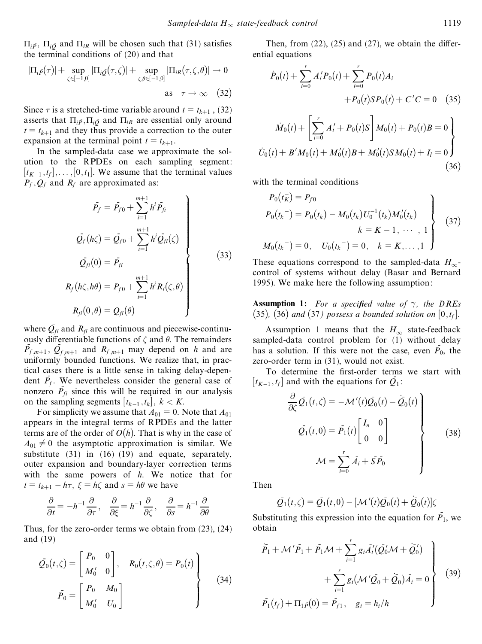$\Pi_{i\bar{p}}$ ,  $\Pi_{i\bar{Q}}$  and  $\Pi_{iR}$  will be chosen such that (31) satisfies the terminal conditions of (20) and that

$$
|\Pi_{i\bar{P}}(\tau)| + \sup_{\zeta \in [-1,0]} |\Pi_{i\bar{Q}}(\tau,\zeta)| + \sup_{\zeta,\theta \in [-1,0]} |\Pi_{iR}(\tau,\zeta,\theta)| \to 0
$$
  
as  $\tau \to \infty$  (32)

Since  $\tau$  is a stretched-time variable around  $t = t_{k+1}$ , (32) asserts that  $\Pi_{i\bar{P}}$ ,  $\Pi_{i\bar{O}}$  and  $\Pi_{iR}$  are essential only around  $t = t_{k+1}$  and they thus provide a correction to the outer expansion at the terminal point  $t = t_{k+1}$ .

In the sampled-data case we approximate the solution to the RPDEs on each sampling segment:  $[t_{K-1}, t_f], \ldots, [0, t_1]$ . We assume that the terminal values  $P_f$ ,  $Q_f$  and  $R_f$  are approximated as:

$$
\bar{P}_f = \bar{P}_{f0} + \sum_{i=1}^{m+1} h^i \bar{P}_{fi}
$$
\n
$$
\bar{Q}_f(h\zeta) = \bar{Q}_{f0} + \sum_{i=1}^{m+1} h^i \bar{Q}_{fi}(\zeta)
$$
\n
$$
\bar{Q}_{fi}(0) = \bar{P}_{fi}
$$
\n
$$
R_f(h\zeta, h\theta) = P_{f0} + \sum_{i=1}^{m+1} h^i R_i(\zeta, \theta)
$$
\n
$$
R_{fi}(0, \theta) = Q_{fi}(\theta)
$$
\n(33)

where  $\overline{Q}_{fi}$  and  $R_{fi}$  are continuous and piecewise-continuously differentiable functions of  $\zeta$  and  $\theta$ . The remainders  $P_{f,m+1}$ ,  $Q_{f,m+1}$  and  $R_{f,m+1}$  may depend on *h* and are uniformly bounded functions. We realize that, in practical cases there is a little sense in taking delay-dependent  $P_f$ . We nevertheless consider the general case of nonzero  $\vec{P}_{fi}$  since this will be required in our analysis on the sampling segments  $[t_{k-1}, t_k]$ ,

For simplicity we assume that  $A_{01} = 0$ . Note that  $A_{01}$ appears in the integral terms of RPDEs and the latter terms are of the order of  $O(h)$ . That is why in the case of  $A_{01} \neq 0$  the asymptotic approximation is similar. We substitute (31) in  $(16)–(19)$  and equate, separately, outer expansion and boundary-layer correction terms with the same powers of *h*. We notice that for  $t = t_{k+1} - h\tau$ ,  $\xi = h\zeta$  and  $s = h\theta$  we have

$$
\frac{\partial}{\partial t} = -h^{-1}\frac{\partial}{\partial \tau}, \quad \frac{\partial}{\partial \xi} = h^{-1}\frac{\partial}{\partial \zeta}, \quad \frac{\partial}{\partial s} = h^{-1}\frac{\partial}{\partial \theta}
$$

Thus, for the zero-order terms we obtain from (23), (24) and (19)

$$
\overline{Q}_0(t,\zeta) = \begin{bmatrix} P_0 & 0 \\ M'_0 & 0 \end{bmatrix}, \quad R_0(t,\zeta,\theta) = P_0(t) \}
$$
\n
$$
\overline{P}_0 = \begin{bmatrix} P_0 & M_0 \\ M'_0 & U_0 \end{bmatrix}
$$
\n(34)

Then, from  $(22)$ ,  $(25)$  and  $(27)$ , we obtain the differential equations

$$
\dot{P}_0(t) + \sum_{i=0}^r A'_i P_0(t) + \sum_{i=0}^r P_0(t) A_i
$$
  
+  $P_0(t) S P_0(t) + C' C = 0$  (35)  

$$
\dot{M}_0(t) + \left[ \sum_{i=0}^r A'_i + P_0(t) S \right] M_0(t) + P_0(t) B = 0
$$
  

$$
\dot{U}_0(t) + B'M_0(t) + M'_0(t) B + M'_0(t) S M_0(t) + I_l = 0
$$
 (36)

with the terminal conditions

$$
P_0(t_K^-) = P_{f0}
$$
  
\n
$$
P_0(t_k^-) = P_0(t_k) - M_0(t_k)U_0^{-1}(t_k)M_0'(t_k)
$$
  
\n
$$
k = K - 1, \dots, 1
$$
  
\n
$$
M_0(t_k^-) = 0, \quad U_0(t_k^-) = 0, \quad k = K, \dots, 1
$$
\n(37)

These equations correspond to the sampled-data  $H_{\infty}$ - control of systems without delay (Basar and Bernard 1995). We make here the following assumption:

**Assumption 1:** For a specified value of  $\gamma$ , the DREs  $(35)$ ,  $(36)$  *and*  $(37)$  *possess a bounded solution on*  $[0, t_f]$ *.* 

Assumption 1 means that the  $H_{\infty}$  state-feedback sampled-data control problem for (1) without delay has a solution. If this were not the case, even  $\overline{P}_0$ , the zero-order term in (31), would not exist.

To determine the first-order terms we start with  $[t_{K-1}, t_f]$  and with the equations for  $\overline{Q}_1$ :

$$
\frac{\partial}{\partial \zeta} \overline{Q}_1(t,\zeta) = -\mathcal{M}'(t)\overline{Q}_0(t) - \overline{Q}_0(t)
$$
\n
$$
\overline{Q}_1(t,0) = \overline{P}_1(t) \begin{bmatrix} I_n & 0 \\ 0 & 0 \end{bmatrix}
$$
\n
$$
\mathcal{M} = \sum_{i=0}^r \overline{A}_i + \overline{S} \overline{P}_0
$$
\n(38)

Then

$$
\overline{Q}_1(t,\zeta)=\overline{Q}_1(t,0)-[\mathcal{M}'(t)\overline{Q}_0(t)+\overline{Q}_0(t)]\zeta
$$

Substituting this expression into the equation for  $P_1$ , we obtain

$$
\overline{P}_1 + \mathcal{M}' \overline{P}_1 + \overline{P}_1 \mathcal{M} + \sum_{i=1}^r g_i \overline{A}'_i (\overline{Q}'_0 \mathcal{M} + \overline{Q}'_0) + \sum_{i=1}^r g_i (\mathcal{M}' \overline{Q}_0 + \overline{Q}_0) \overline{A}_i = 0
$$
\n
$$
\overline{P}_1(t_f) + \Pi_{1\overline{P}}(0) = \overline{P}_{f1}, \quad g_i = h_i/h
$$
\n(39)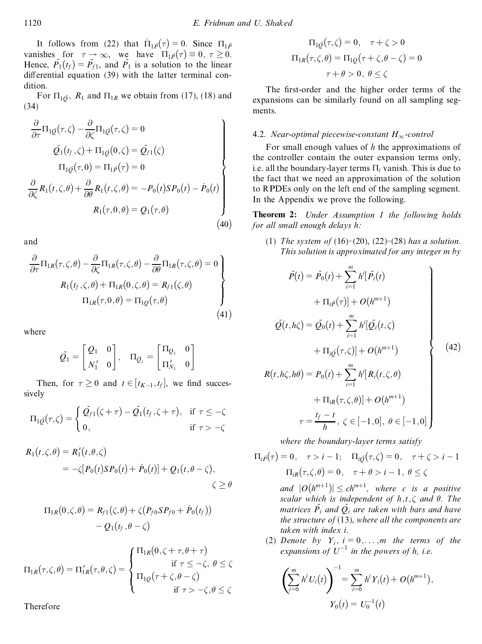It follows from (22) that  $\Pi_1 \bar{p}(\tau) = 0$ . Since  $\Pi_1 \bar{p}$ vanishes for  $\tau \to \infty$ , we have  $\Pi_1 p(\tau) \equiv 0, \tau \ge 0$ . Hence,  $P_1(t_f) = P_{f_1}$ , and  $P_1$  is a solution to the linear differential equation  $(39)$  with the latter terminal condition.

For  $\Pi_{1\bar{Q}}$ ,  $R_1$  and  $\Pi_{1R}$  we obtain from (17), (18) and (34)

$$
\frac{\partial}{\partial \tau} \Pi_{1\mathcal{Q}}(\tau,\zeta) - \frac{\partial}{\partial \zeta} \Pi_{1\mathcal{Q}}(\tau,\zeta) = 0
$$
\n
$$
\mathcal{Q}_1(t_f,\zeta) + \Pi_{1\mathcal{Q}}(0,\zeta) = \mathcal{Q}_{f1}(\zeta)
$$
\n
$$
\Pi_{1\mathcal{Q}}(\tau,0) = \Pi_{1\mathcal{P}}(\tau) = 0
$$
\n
$$
\frac{\partial}{\partial \zeta} R_1(t,\zeta,\theta) + \frac{\partial}{\partial \theta} R_1(t,\zeta,\theta) = -P_0(t)SP_0(t) - \dot{P}_0(t)
$$
\n
$$
R_1(\tau,0,\theta) = Q_1(\tau,\theta)
$$
\n(40)

and

$$
\frac{\partial}{\partial \tau} \Pi_{1R}(\tau, \zeta, \theta) - \frac{\partial}{\partial \zeta} \Pi_{1R}(\tau, \zeta, \theta) - \frac{\partial}{\partial \theta} \Pi_{1R}(\tau, \zeta, \theta) = 0
$$
\n
$$
R_1(t_f, \zeta, \theta) + \Pi_{1R}(0, \zeta, \theta) = R_{f1}(\zeta, \theta)
$$
\n
$$
\Pi_{1R}(\tau, 0, \theta) = \Pi_{1Q}(\tau, \theta)
$$
\n(41)

where

$$
\tilde{\mathcal{Q}_1} = \begin{bmatrix} \mathcal{Q}_1 & 0 \\[0.5mm] N_1' & 0 \end{bmatrix}, \quad \Pi_{\tilde{\mathcal{Q}_1}} = \begin{bmatrix} \Pi_{\mathcal{Q}_1} & 0 \\[0.5mm] \Pi_{N_1}' & 0 \end{bmatrix}
$$

Then, for  $\tau \geq 0$  and  $t \in [t_{K-1}, t_f]$ , we find successively

$$
\Pi_{1\mathcal{Q}}(\tau,\zeta) = \begin{cases} \mathcal{Q}_{f1}(\zeta + \tau) - \mathcal{Q}_1(t_f,\zeta + \tau), & \text{if } \tau \le -\zeta \\ 0, & \text{if } \tau > -\zeta \end{cases}
$$

$$
R_1(t,\zeta,\theta) = R'_1(t,\theta,\zeta)
$$
  
=  $-\zeta[P_0(t)SP_0(t) + \dot{P}_0(t)] + Q_1(t,\theta-\zeta),$   
 $\zeta \ge \theta$ 

$$
\Pi_{1R}(0,\zeta,\theta) = R_{f1}(\zeta,\theta) + \zeta (P_{f0}SP_{f0} + \dot{P}_0(t_f))
$$

$$
- Q_1(t_f,\theta - \zeta)
$$

$$
\Pi_{1R}(\tau,\zeta,\theta) = \Pi'_{1R}(\tau,\theta,\zeta) = \begin{cases} \Pi_{1R}(0,\zeta+\tau,\theta+\tau) & \text{if } \tau \leq -\zeta, \ \theta \leq \zeta \\ \Pi_{1Q}(\tau+\zeta,\theta-\zeta) & \text{if } \tau > -\zeta, \theta \leq \zeta \end{cases}
$$

Therefore

$$
\Pi_{1Q}(\tau,\zeta) = 0, \quad \tau + \zeta > 0
$$

$$
\Pi_{1R}(\tau,\zeta,\theta) = \Pi_{1Q}(\tau + \zeta,\theta - \zeta) = 0
$$

$$
\tau + \theta > 0, \ \theta \le \zeta
$$

The first-order and the higher order terms of the expansions can be similarly found on all sampling segments.

## 4.2. *Near-optimal piecewise-constant*  $H_{\infty}$ -control

For small enough values of *h* the approximations of the controller contain the outer expansion terms only, i.e. all the boundary-layer terms  $\Pi_i$  vanish. This is due to the fact that we need an approximation of the solution to RPDEs only on the left end of the sampling segment. In the Appendix we prove the following.

**Theorem 2:** *Under Assumption 1 the following holds for all small enough delays h:*

(1) *The system of*  $(16)–(20)$ ,  $(22)–(28)$  *has a solution. This solution is approximated for any integer m by*

$$
\bar{P}(t) = \bar{P}_0(t) + \sum_{i=1}^{m} h^{i} [\bar{P}_i(t) + \Pi_{i}\bar{P}_i(\tau)] + O(h^{m+1})
$$
\n
$$
\bar{Q}(t, h\zeta) = \bar{Q}_0(t) + \sum_{i=1}^{m} h^{i} [\bar{Q}_i(t, \zeta) + \Pi_{i}\bar{Q}(\tau, \zeta)] + O(h^{m+1})
$$
\n
$$
R(t, h\zeta, h\theta) = P_0(t) + \sum_{i=1}^{m} h^{i} [R_i(t, \zeta, \theta)]
$$
\n(42)

$$
+\Pi_{iR}(\tau,\zeta,\theta)] + O(h^{m+1})
$$
  

$$
\tau = \frac{t_f - t}{h}, \ \zeta \in [-1,0], \ \theta \in [-1,0]
$$

*where the boundary-layer terms satisfy*

$$
\Pi_{i\bar{P}}(\tau) = 0, \quad \tau > i - 1; \quad \Pi_{i\bar{Q}}(\tau,\zeta) = 0, \quad \tau + \zeta > i - 1
$$
\n
$$
\Pi_{iR}(\tau,\zeta,\theta) = 0, \quad \tau + \theta > i - 1, \quad \theta \le \zeta
$$
\nand  $|O(h^{m+1})| \le ch^{m+1}$ , where *c* is a positive  
\nscalar which is independent of *h*, *t*,  $\zeta$  and  $\theta$ . The  
\nmatrices  $\bar{P}_i$  and  $\bar{Q}_i$  are taken with bars and have  
\nthe structure of (13), where all the components are  
\ntaken with index *i*.

(2) *Denote by*  $Y_i$ ,  $i = 0, \ldots, m$  *the terms of the expansions of*  $U^{-1}$  *in the powers of h, i.e.* 

$$
\left(\sum_{i=0}^{m} h^{i} U_{i}(t)\right)^{-1} = \sum_{i=0}^{m} h^{i} Y_{i}(t) + O(h^{m+1}),
$$
  

$$
Y_{0}(t) = U_{0}^{-1}(t)
$$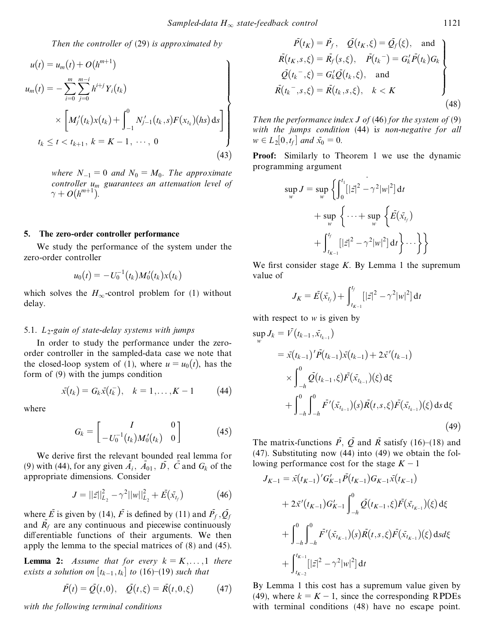*Then the controller of* (29) *is approximated by*

$$
u(t) = u_m(t) + O(h^{m+1})
$$
  
\n
$$
u_m(t) = -\sum_{i=0}^{m} \sum_{j=0}^{m-i} h^{i+j} Y_i(t_k)
$$
  
\n
$$
\times \left[ M'_j(t_k) x(t_k) + \int_{-1}^{0} N'_{j-1}(t_k, s) F(x_{t_k}) (hs) ds \right]
$$
  
\n
$$
t_k \le t < t_{k+1}, k = K - 1, \dots, 0
$$
  
\n(43) P

*where*  $N_{-1} = 0$  *and*  $N_0 = M_0$ *. The approximate controller u<sup>m</sup> guarantees an attenuation level of*  $\gamma + O(h^{m+1}).$ 

#### **5. The zero-order controller performance**

We study the performance of the system under the zero-order controller

$$
u_0(t) = -U_0^{-1}(t_k)M_0'(t_k)x(t_k)
$$

which solves the  $H_{\infty}$ -control problem for (1) without delay.

#### 5.1. *L* <sup>2</sup>*-gain of state-delay systems with jumps*

In order to study the performance under the zeroorder controller in the sampled-data case we note that the closed-loop system of (1), where  $u = u_0(t)$ , has the form of (9) with the jumps condition

$$
\bar{x}(t_k) = G_k \bar{x}(t_k), \quad k = 1, ..., K - 1
$$
\n(44)

where

$$
G_k = \begin{bmatrix} I & 0 \\ -U_0^{-1}(t_k)M_0'(t_k) & 0 \end{bmatrix} \tag{45}
$$

We derive first the relevant bounded real lemma for (9) with (44), for any given  $\overline{A}_i$ ,  $\overline{A}_{01}$ ,  $\overline{D}$ ,  $\overline{C}$  and  $G_k$  of the appropriate dimensions. Consider

$$
J = ||\bar{z}||_{L_2}^2 - \gamma^2 ||w||_{L_2}^2 + \bar{E}(\bar{x}_{t_f})
$$
 (46)

where  $\vec{E}$  is given by (14),  $\vec{F}$  is defined by (11) and  $\vec{P_f}$ ,  $\vec{Q_f}$ and  $\overline{R}_f$  are any continuous and piecewise continuously differentiable functions of their arguments. We then apply the lemma to the special matrices of (8) and (45).

**Lemma 2:** *Assume that for every*  $k = K, \ldots, 1$  *there exists a solution on*  $[t_{k-1}, t_k]$  *to* (16)–(19) *such that* 

$$
\bar{P}(t) = \bar{Q}(t,0), \quad \bar{Q}(t,\xi) = \bar{R}(t,0,\xi)
$$
 (47)

*with the following terminal conditions*

$$
\bar{P}(t_K) = \bar{P}_f, \quad \bar{Q}(t_K, \xi) = \bar{Q}_f(\xi), \text{ and} \n\bar{R}(t_K, s, \xi) = \bar{R}_f(s, \xi), \quad \bar{P}(t_k^-) = G'_k \bar{P}(t_k) G_k \n\bar{Q}(t_k^-, \xi) = G'_k \bar{Q}(t_k, \xi), \text{ and} \n\bar{R}(t_k^-, s, \xi) = \bar{R}(t_k, s, \xi), \quad k < K
$$
\n(48)

*w*  $\in L_2[0,t_f]$  *and*  $\bar{x}_0 = 0$ *. Then the performance index J of* (46) *for the system of* (9) *with the jumps condition* (44) i*s non-negative for all*

> **Proof:** Similarly to Theorem 1 we use the dynamic programming argument

$$
\sup_{w} J = \sup_{w} \left\{ \int_{0}^{t_1} [|\bar{z}|^2 - \gamma^2 |w|^2] dt + \sup_{w} \left\{ \dots + \sup_{w} \left\{ \bar{E}(\bar{x}_{t_f}) + \int_{t_{K-1}}^{t_f} [|\bar{z}|^2 - \gamma^2 |w|^2] dt \right\} \dots \right\} \right\}
$$

We first consider stage  $K$ . By Lemma 1 the supremum value of

$$
J_K = \bar{E}(\bar{x}_{t_f}) + \int_{t_{K-1}}^{t_f} [|z|^2 - \gamma^2 |w|^2] dt
$$

with respect to *w* is given by

$$
\sup_{w} J_{k} = V(t_{k-1}, \bar{x}_{t_{k-1}})
$$
\n
$$
= \bar{x}(t_{k-1})' \bar{P}(t_{k-1}) \bar{x}(t_{k-1}) + 2\bar{x}'(t_{k-1})
$$
\n
$$
\times \int_{-h}^{0} \bar{Q}(t_{k-1}, \xi) \bar{F}(\bar{x}_{t_{k-1}})(\xi) d\xi
$$
\n
$$
+ \int_{-h}^{0} \int_{-h}^{0} \bar{F}'(\bar{x}_{t_{k-1}})(s) \bar{R}(t, s, \xi) \bar{F}(\bar{x}_{t_{k-1}})(\xi) ds d\xi
$$
\n(49)

The matrix-functions  $\overline{P}$ ,  $\overline{Q}$  and  $\overline{R}$  satisfy (16)–(18) and (47). Substituting now (44) into (49) we obtain the following performance cost for the stage  $K - 1$ 

*<sup>J</sup>K*¡<sup>1</sup> <sup>ˆ</sup> -*x*…*tK*¡<sup>1</sup>†

$$
J_{K-1} = \bar{x}(t_{K-1})'G'_{K-1}\bar{P}(t_{K-1})G_{K-1}\bar{x}(t_{K-1})
$$
  
+  $2\bar{x}'(t_{K-1})G'_{K-1}\int_{-h}^{0} \bar{Q}(t_{K-1},\xi)\bar{F}(\bar{x}_{t_{K-1}})(\xi) d\xi$   
+  $\int_{-h}^{0} \int_{-h}^{0} \bar{F}'(\bar{x}_{t_{K-1}})(s)\bar{R}(t,s,\xi)\bar{F}(\bar{x}_{t_{K-1}})(\xi) ds d\xi$   
+  $\int_{t_{K-2}}^{t_{K-1}} [|\bar{z}|^{2} - \gamma^{2}|w|^{2}] dt$ 

By Lemma 1 this cost has a supremum value given by (49), where  $k = K - 1$ , since the corresponding RPDEs with terminal conditions (48) have no escape point.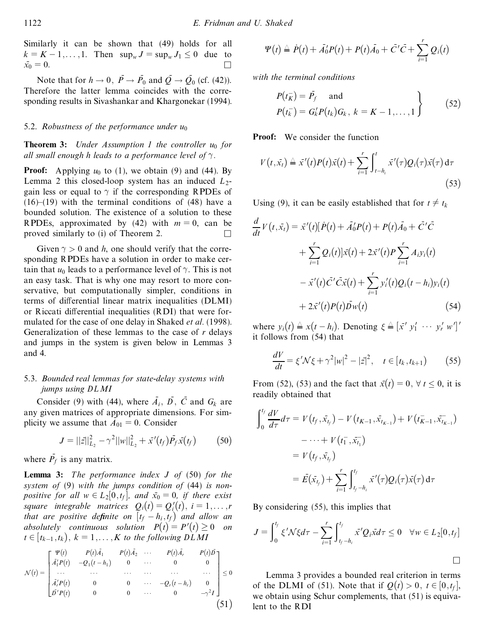Similarly it can be shown that (49) holds for all  $k = K - 1, ..., 1$ . Then  $\sup_{w} J = \sup_{w} J_1 \le 0$  due to  $\bar{x_0} = 0$ .  $x_0 = 0.$ 

Note that for  $h \to 0$ ,  $\overline{P} \to \overline{P}_0$  and  $\overline{Q} \to \overline{Q}_0$  (cf. (42)). Therefore the latter lemma coincides with the corresponding results in Sivashankar and Khargonekar (1994).

## 5.2. *Robustness of the performance under u*<sup>0</sup>

**Theorem 3:** *Under Assumption 1 the controller u*<sup>0</sup> *for all small enough h leads to a performance level of*  $\gamma$ .

**Proof:** Applying  $u_0$  to (1), we obtain (9) and (44). By Lemma 2 this closed-loop system has an induced  $L_2$ gain less or equal to  $\gamma$  if the corresponding RPDEs of  $(16)–(19)$  with the terminal conditions of  $(48)$  have a bounded solution. The existence of a solution to these RPDEs, approximated by  $(42)$  with  $m = 0$ , can be proved similarly to (i) of Theorem 2. &

Given  $\gamma > 0$  and *h*, one should verify that the corresponding RPDEs have a solution in order to make certain that  $u_0$  leads to a performance level of  $\gamma$ . This is not an easy task. That is why one may resort to more conservative, but computationally simpler, conditions in terms of differential linear matrix inequalities (DLMI) or Riccati differential inequalities (RDI) that were formulated for the case of one delay in Shaked *et al.* (1998). Generalization of these lemmas to the case of *r* delays and jumps in the system is given below in Lemmas 3 and 4.

## 5.3. *Bounded real lemmas for state-delay systems with jumps using DL MI*

Consider (9) with (44), where  $\overline{A}_i$ ,  $\overline{D}$ ,  $\overline{C}$  and  $G_k$  are any given matrices of appropriate dimensions. For simplicity we assume that  $A_{01} = 0$ . Consider

$$
J = ||\vec{z}||_{L_2}^2 - \gamma^2 ||w||_{L_2}^2 + \vec{x}'(t_f) \vec{P}_f \vec{x}(t_f)
$$
 (50)

where  $\overline{P_f}$  is any matrix.

**Lemma 3:** *The performance index J of* (50) *for the system of*(9) *with the jumps condition of* (44) *is nonpositive for* all  $w \in L_2[0,t_f]$ *, and*  $\bar{x}_0 = 0$ *, if there exist square integrable matrices*  $Q_i(t) = Q'_i(t), i = 1, \ldots, r$ *that are positive definite on*  $[t_f - h_i, t_f)$  *and allow an absolutely continuous solution*  $P(t) = P'(t) \ge 0$  *on*  $t \in [t_{k-1}, t_k], k = 1, \ldots, K$  *to the following*  $DLMI$ 

$$
\mathcal{N}(t) = \begin{bmatrix} \Psi(t) & P(t)\bar{A}_1 & P(t)\bar{A}_2 & \cdots & P(t)\bar{A}_r & P(t)\bar{D} \\ \bar{A}_1'P(t) & -Q_1(t-h_1) & 0 & \cdots & 0 & 0 \\ \cdots & \cdots & \cdots & \cdots & \cdots & \cdots \\ \bar{A}_r'P(t) & 0 & 0 & \cdots & -Q_r(t-h_r) & 0 \\ \bar{D}'P(t) & 0 & 0 & \cdots & 0 & -\gamma^2 I \end{bmatrix} \leq 0
$$
\n(51)

$$
\Psi(t) \triangleq \dot{P}(t) + \overline{A}_0'P(t) + P(t)\overline{A}_0 + \overline{C}'\overline{C} + \sum_{i=1}^r Q_i(t)
$$

*with the terminal conditions*

$$
P(t_K^-) = \bar{P}_f \quad \text{and} \quad P(t_K^-) = G'_k P(t_k) G_k, \ k = K - 1, \dots, 1
$$
 (52)

**Proof:** We consider the function

$$
V(t,\bar{x_t}) \triangleq \bar{x}'(t)P(t)\bar{x}(t) + \sum_{i=1}^r \int_{t-h_i}^t \bar{x}'(\tau)Q_i(\tau)\bar{x}(\tau) d\tau
$$
\n(53)

Using (9), it can be easily established that for  $t \neq t_k$ 

$$
\frac{d}{dt}V(t, \bar{x}_t) = \bar{x}'(t)[\dot{P}(t) + \bar{A}'_0 P(t) + P(t)\bar{A}_0 + \bar{C}'\bar{C} \n+ \sum_{i=1}^r Q_i(t)]\bar{x}(t) + 2\bar{x}'(t)P\sum_{i=1}^r A_i y_i(t) \n- \bar{x}'(t)\bar{C}'\bar{C}\bar{x}(t) + \sum_{i=1}^r y_i'(t)Q_i(t - h_i)y_i(t) \n+ 2\bar{x}'(t)P(t)\bar{D}w(t)
$$
\n(54)

where  $y_i(t) \triangleq x(t-h_i)$ . Denoting  $\xi \triangleq [\bar{x}' \ y'_1 \ \cdots \ y'_r \ w']'$ it follows from (54) that

$$
\frac{dV}{dt} = \xi' \mathcal{N}\xi + \gamma^2 |w|^2 - |\bar{z}|^2, \quad t \in [t_k, t_{k+1})
$$
 (55)

From (52), (53) and the fact that  $\bar{x}(t) = 0, \forall t \le 0$ , it is readily obtained that

$$
\int_0^{t_f} \frac{dV}{d\tau} d\tau = V(t_f, \bar{x}_{t_f}) - V(t_{K-1}, \bar{x}_{t_{K-1}}) + V(t_{K-1}, \bar{x}_{t_{K-1}})
$$
  

$$
= \cdots + V(t_1^-, \bar{x}_{t_1}^-)
$$
  

$$
= V(t_f, \bar{x}_{t_f})
$$
  

$$
= \bar{E}(\bar{x}_{t_f}) + \sum_{i=1}^r \int_{t_f - h_i}^{t_f} \bar{x}'(\tau) Q_i(\tau) \bar{x}(\tau) d\tau
$$

By considering (55), this implies that

$$
J = \int_0^{t_f} \xi' \mathcal{N} \xi d\tau - \sum_{i=1}^r \int_{t_f - h_i}^{t_f} \bar{x}' Q_i \bar{x} d\tau \leq 0 \quad \forall w \in L_2[0, t_f]
$$

Lemma 3 provides a bounded real criterion in terms of the DLMI of (51). Note that if  $Q(t) > 0$ ,  $t \in [0, t<sub>f</sub>]$ , we obtain using Schur complements, that (51) is equivalent to the RDI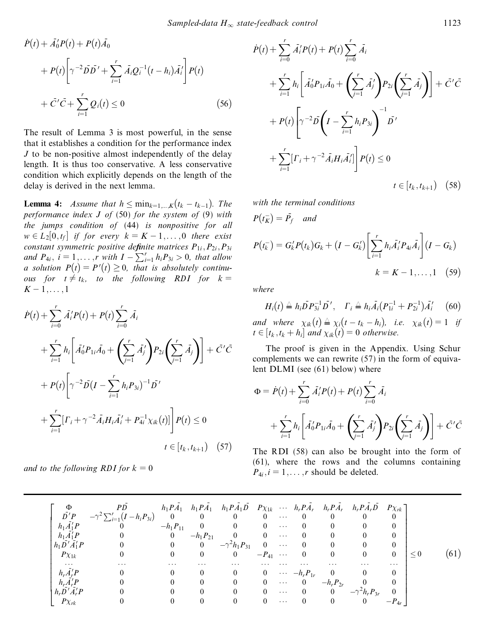$$
\dot{P}(t) + \bar{A}'_0 P(t) + P(t) \bar{A}_0
$$
\n
$$
+ P(t) \left[ \gamma^{-2} \bar{D} \bar{D}' + \sum_{i=1}^r \bar{A}_i Q_i^{-1} (t - h_i) \bar{A}'_i \right] P(t)
$$
\n
$$
+ \bar{C}' \bar{C} + \sum_{i=1}^r Q_i(t) \le 0 \tag{56}
$$

The result of Lemma 3 is most powerful, in the sense that it establishes a condition for the performance index *J* to be non-positive almost independently of the delay length. It is thus too conservative. A less conservative condition which explicitly depends on the length of the delay is derived in the next lemma.

**Lemma 4:** *Assume that*  $h \leq \min_{k=1,\ldots,K} (t_k - t_{k-1})$ . The *performance index J of* (50) *for the system of* (9) *with the jumps condition of* (44) *is nonpositive for all*  $w \in L_2[0,t_f]$  *if for every*  $k = K - 1, \ldots, 0$  *there exist constant symmetric positive definite matrices*  $P_{1i}$ ,  $P_{2i}$ ,  $P_{3i}$ *and*  $P_{4i}$ ,  $i = 1, \ldots, r$  *with*  $I - \sum_{i=1}^{r} h_i P_{3i} > 0$ , *that allow a* solution  $P(t) = P'(t) \geq 0$ , that is absolutely continu*ous for*  $t \neq t_k$ , *to the following RDI for*  $k = K - 1, \ldots, 1$ 

$$
\dot{P}(t) + \sum_{i=0}^{r} \bar{A}_{i}^{'} P(t) + P(t) \sum_{i=0}^{r} \bar{A}_{i}
$$
\n
$$
+ \sum_{i=1}^{r} h_{i} \left[ \bar{A}_{0}^{'} P_{1i} \bar{A}_{0} + \left( \sum_{j=1}^{r} \bar{A}_{j}^{'} \right) P_{2i} \left( \sum_{j=1}^{r} \bar{A}_{j} \right) \right] + \bar{C}^{'} \bar{C}
$$
\n
$$
+ P(t) \left[ \gamma^{-2} \bar{D} (I - \sum_{i=1}^{r} h_{i} P_{3i})^{-1} \bar{D}^{'}
$$
\n
$$
+ \sum_{i=1}^{r} [ \Gamma_{i} + \gamma^{-2} \bar{A}_{i} H_{i} \bar{A}_{i}^{'} + P_{4i}^{-1} \chi_{ik}(t) ] \right] P(t) \le 0
$$
\n
$$
t \in [t_{k}, t_{k+1}) \quad (57)
$$

*and to the following RDI for*  $k = 0$ 

$$
\dot{P}(t) + \sum_{i=0}^{r} \bar{A}_{i}^{t} P(t) + P(t) \sum_{i=0}^{r} \bar{A}_{i}
$$
\n
$$
+ \sum_{i=1}^{r} h_{i} \left[ \bar{A}_{0}^{t} P_{1i} \bar{A}_{0} + \left( \sum_{j=1}^{r} \bar{A}_{j}^{t} \right) P_{2i} \left( \sum_{j=1}^{r} \bar{A}_{j} \right) \right] + \bar{C}^{t} \bar{C}
$$
\n
$$
+ P(t) \left[ \gamma^{-2} \bar{D} \left( I - \sum_{i=1}^{r} h_{i} P_{3i} \right)^{-1} \bar{D}^{t}
$$
\n
$$
+ \sum_{i=1}^{r} \left[ \Gamma_{i} + \gamma^{-2} \bar{A}_{i} H_{i} \bar{A}_{i}^{t} \right] P(t) \leq 0
$$
\n
$$
t \in [t_{k}, t_{k+1}) \quad (58)
$$

*with the terminal conditions*

$$
P(t_{K}^{-}) = \bar{P}_{f} \quad \text{and}
$$
\n
$$
P(t_{K}^{-}) = G_{k}'P(t_{k})G_{k} + (I - G_{k}') \left[ \sum_{i=1}^{r} h_{i} \bar{A}_{i}' P_{4i} \bar{A}_{i} \right] (I - G_{k})
$$
\n
$$
k = K - 1, ..., 1 \quad (59)
$$

*where*

 $\mathcal{L}^{\text{max}}$ 

 $H_i(t) \triangleq h_i \overline{D} P_{3i}^{-1} \overline{D}'$ ,  $\Gamma_i \triangleq h_i \overline{A}_i (P_{1i}^{-1} + P_{2i}^{-1}) \overline{A}_i'$  (i  $(60)$ *and where*  $\chi_{ik}(t) \triangleq \chi_{i}(t - t_{k} - h_{i}),$  *i.e.*  $\chi_{ik}(t) = 1$  *if*  $t \in [t_k, t_k + h_i]$  and  $\chi_{ik}(t) = 0$  otherwise.

The proof is given in the Appendix. Using Schur complements we can rewrite (57) in the form of equivalent DLMI (see (61) below) where

$$
\Phi = \dot{P}(t) + \sum_{i=0}^{r} \bar{A}'_i P(t) + P(t) \sum_{i=0}^{r} \bar{A}_i
$$
  
+ 
$$
\sum_{i=1}^{r} h_i \left[ \bar{A}'_0 P_{1i} \bar{A}_0 + \left( \sum_{j=1}^{r} \bar{A}'_j \right) P_{2i} \left( \sum_{j=1}^{r} \bar{A}_j \right) \right] + \bar{C}' \bar{C}
$$

The RDI (58) can also be brought into the form of (61), where the rows and the columns containing  $P_{4i}$ ,  $i = 1, \ldots, r$  should be deleted.

| $h_1\overline{A}_1'P$<br>$h_1A'_1P$<br>$h_1\overline{D}'\overline{A}'_1P$<br>$P\chi_{1k}$         | PD<br>$\bar{D'}P \quad -\gamma^2 \sum_{i=1}^r (I-h_iP_{3i}) \quad 0$<br>$\bf{0}$ | $-h_1 P_{11}$<br>$\mathbf{0}$<br>$\mathbf{0}$<br>$\overline{0}$ | $\hspace{1.6cm}0$<br>$\overline{\mathbf{0}}$<br>$\overline{0}$ | $h_1 P \overline{A}_1$ $h_1 P \overline{A}_1$ $h_1 P \overline{A}_1 \overline{D}$ $P \chi_{1k}$ $\cdots$ $h_r P \overline{A}_r$ $h_r P \overline{A}_r$ $h_r P \overline{A}_r \overline{D}$ $P \chi_{rk}$<br>$\sim$ 0<br>$\mathbf{0}$<br>$-h_1 P_{21}$ 0 0<br>0 $-\gamma^2 h_1 P_{31}$<br>$\overline{0}$ | $0 \quad \cdots \quad 0$<br>$0 \cdots$<br>$-P_{41}$ |                      | $\hspace{0.6cm}0$<br>$0 \quad \cdots \quad 0$<br>$\overline{0}$                           |                                                                                   | $\overline{0}$<br>$\overline{0}$<br>$\overline{0}$   | 0<br>$\theta$<br>$\overline{0}$<br>$\mathbf{0}$ |  |
|---------------------------------------------------------------------------------------------------|----------------------------------------------------------------------------------|-----------------------------------------------------------------|----------------------------------------------------------------|---------------------------------------------------------------------------------------------------------------------------------------------------------------------------------------------------------------------------------------------------------------------------------------------------------|-----------------------------------------------------|----------------------|-------------------------------------------------------------------------------------------|-----------------------------------------------------------------------------------|------------------------------------------------------|-------------------------------------------------|--|
| $\cdots$<br>$h_r \overline{A'_r} P$<br>$h_r \overline{A'_r} P$<br>$h_r D' A'_r P$<br>$P\chi_{rk}$ | $\ddotsc$                                                                        | $\cdots$                                                        | $\cdots$<br>$\theta$<br>$\theta$                               | .<br>$\Omega$<br>$\theta$<br>$\Omega$                                                                                                                                                                                                                                                                   | $\Omega$                                            | $\sim$ $\sim$ $\sim$ | 0 $\cdots$ $-h_r P_{1r}$<br>$0 \quad \cdots \quad 0$<br>$\begin{array}{cc} 0 \end{array}$ | $\cdots$<br>0  0 $-h_r P_{2r}$ 0<br>$\begin{array}{cc} 0 \end{array}$<br>$\theta$ | $\cdots$<br>$-\gamma^2 h_r P_{3r}$<br>$\overline{0}$ | $\cdots$<br>$\theta$                            |  |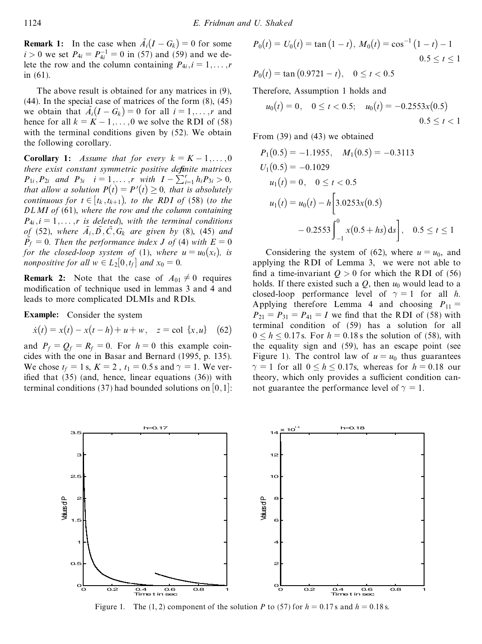**Remark 1:** In the case when  $\overline{A}_i(I - G_k) = 0$  for some  $i > 0$  we set  $P_{4i} = P_{4i}^{-1} = 0$  in (57) and (59) and we delete the row and the column containing  $P_{4i}$ ,  $i = 1, \ldots, r$ in (61).

The above result is obtained for any matrices in (9),  $(44)$ . In the special case of matrices of the form  $(8)$ ,  $(45)$ we obtain that  $A_i(I - G_k) = 0$  for all  $i = 1, \ldots, r$  and hence for all  $k = K - 1, \ldots, 0$  we solve the RDI of (58) with the terminal conditions given by (52). We obtain the following corollary.

**Corollary 1:** Assume that for every  $k = K - 1, \ldots, 0$ *there exist constant symmetric positive definite matrices*  $P_{1i}$ ,  $P_{2i}$  *and*  $P_{3i}$   $i = 1, ..., r$  *with*  $I - \sum_{i=1}^{r} h_i P_{3i} > 0$ , *that* allow *a solution*  $P(t) = P'(t) \geq 0$ , *that is absolutely continuous* for  $t \in [t_k, t_{k+1})$ , to the RDI of (58) (to the *DL MI of* (61), *where the row and the column containing*  $P_{4i}$ ,  $i = 1, \ldots, r$  *is deleted*), with the *terminal conditions of* (52), where  $\overline{A_i}$ ,  $\overline{D}$ ,  $\overline{C}$ ,  $G_k$  are given by (8), (45) and  $\overline{P_f} = 0$ . Then the performance index *J* of (4) with  $E = 0$ *for the closed-loop system of* (1), *where*  $u = u_0(x_t)$ , *is nonpositive for all*  $w \in L_2[0,t_f]$  *and*  $x_0 = 0$ *.* 

**Remark 2:** Note that the case of  $A_{01} \neq 0$  requires modification of technique used in lemmas 3 and 4 and leads to more complicated DLMIs and RDIs.

**Example:** Consider the system

$$
\dot{x}(t) = x(t) - x(t - h) + u + w, \quad z = \text{col } \{x, u\} \quad (62)
$$

and  $P_f = Q_f = R_f = 0$ . For  $h = 0$  this example coincides with the one in Basar and Bernard (1995, p. 135). We chose  $t_f = 1$  s,  $K = 2$ ,  $t_1 = 0.5$  s and  $\gamma = 1$ . We verified that  $(35)$  (and, hence, linear equations  $(36)$ ) with terminal conditions (37) had bounded solutions on  $[0,1]$ :

$$
P_0(t) = U_0(t) = \tan(1-t), M_0(t) = \cos^{-1}(1-t) - 1
$$
  
0.5 \le t \le 1

 $P_0(t) = \tan (0.9721 - t), \quad 0 \le t < 0.5$ 

Therefore, Assumption 1 holds and

$$
u_0(t) = 0
$$
,  $0 \le t < 0.5$ ;  $u_0(t) = -0.2553x(0.5)$   
 $0.5 \le t < 1$ 

From (39) and (43) we obtained

$$
P_1(0.5) = -1.1955, \quad M_1(0.5) = -0.3113
$$
  
\n
$$
U_1(0.5) = -0.1029
$$
  
\n
$$
u_1(t) = 0, \quad 0 \le t < 0.5
$$
  
\n
$$
u_1(t) = u_0(t) - h \left[ 3.0253x(0.5) -0.2553 \int_{-1}^{0} x(0.5 + hs) ds \right], \quad 0.5 \le t \le 1
$$

Considering the system of (62), where  $u = u_0$ , and applying the RDI of Lemma 3, we were not able to find a time-invariant  $Q > 0$  for which the RDI of (56) holds. If there existed such a  $Q$ , then  $u_0$  would lead to a closed-loop performance level of  $\gamma = 1$  for all *h*. Applying therefore Lemma 4 and choosing  $P_{11} =$  $P_{21} = P_{31} = P_{41} = I$  we find that the RDI of (58) with terminal condition of (59) has a solution for all  $0 \le h \le 0.17$  s. For  $h = 0.18$  s the solution of (58), with the equality sign and (59), has an escape point (see Figure 1). The control law of  $u = u_0$  thus guarantees  $\gamma = 1$  for all  $0 \le h \le 0.17$ s, whereas for  $h = 0.18$  our theory, which only provides a sufficient condition cannot guarantee the performance level of  $\gamma = 1$ .



Figure 1. The (1, 2) component of the solution *P* to (57) for  $h = 0.17$  s and  $h = 0.18$  s.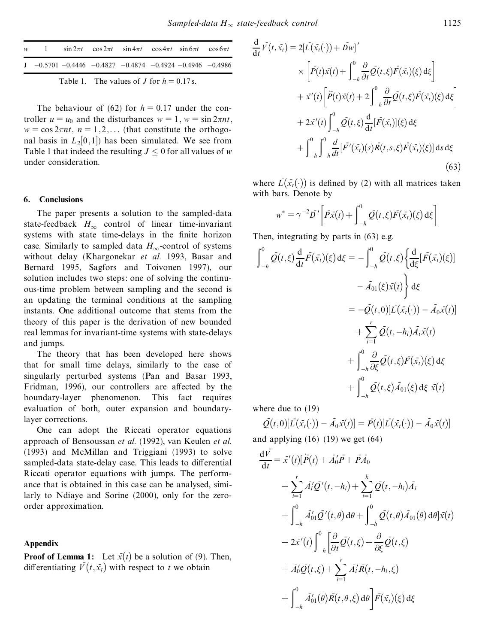|                                            |  |  | w 1 $\sin 2\pi t$ $\cos 2\pi t$ $\sin 4\pi t$ $\cos 4\pi t$ $\sin 6\pi t$ $\cos 6\pi t$ |  |  |  |  |  |
|--------------------------------------------|--|--|-----------------------------------------------------------------------------------------|--|--|--|--|--|
|                                            |  |  | $J = 0.5701 - 0.4446 - 0.4827 - 0.4874 - 0.4924 - 0.4946 - 0.4986$                      |  |  |  |  |  |
| Table 1. The values of J for $h = 0.17$ s. |  |  |                                                                                         |  |  |  |  |  |

The behaviour of (62) for  $h = 0.17$  under the con-<br>troller  $u = u_0$  and the disturbances  $w = 1$ ,  $w = \sin 2\pi nt$ ,  $w = \cos 2\pi nt$ ,  $n = 1, 2, \ldots$  (that constitute the orthogonal basis in  $L_2[0,1]$ ) has been simulated. We see from Table 1 that indeed the resulting  $J \leq 0$  for all values of *w* under consideration.

## **6. Conclusions**

The paper presents a solution to the sampled-data state-feedback  $H_{\infty}$  control of linear time-invariant systems with state time-delays in the finite horizon case. Similarly to sampled data  $H_{\infty}$ -control of systems without delay (Khargonekar *et al.* 1993, Basar and Bernard 1995, Sagfors and Toivonen 1997), our solution includes two steps: one of solving the continuous-time problem between sampling and the second is an updating the terminal conditions at the sampling instants. One additional outcome that stems from the theory of this paper is the derivation of new bounded real lemmas for invariant-time systems with state-delays and jumps.

The theory that has been developed here shows that for small time delays, similarly to the case of singularly perturbed systems (Pan and Basar 1993, Fridman, 1996), our controllers are affected by the boundary-layer phenomenon. This fact requires evaluation of both, outer expansion and boundarylayer corrections.

One can adopt the Riccati operator equations approach of Bensoussan *et al.* (1992), van Keulen *et al.* (1993) and McMillan and Triggiani (1993) to solve sampled-data state-delay case. This leads to differential Riccati operator equations with jumps. The performance that is obtained in this case can be analysed, similarly to Ndiaye and Sorine (2000), only for the zeroorder approximation.

#### **Appendix**

**Proof of Lemma 1:** Let  $\bar{x}(t)$  be a solution of (9). Then, differentiating  $\bar{V}(t, \bar{x}_t)$  with respect to *t* we obtain

$$
\frac{d}{dt}\bar{V}(t,\bar{x}_t) = 2[\bar{L}(\bar{x}_t(\cdot)) + \bar{D}w]'
$$
\n
$$
\times \left[\bar{P}(t)\bar{x}(t) + \int_{-h}^{0} \frac{\partial}{\partial t} \bar{Q}(t,\xi)\bar{F}(\bar{x}_t)(\xi) d\xi\right]
$$
\n
$$
+ \bar{x}'(t)\left[\bar{P}(t)\bar{x}(t) + 2\int_{-h}^{0} \frac{\partial}{\partial t} \bar{Q}(t,\xi)\bar{F}(\bar{x}_t)(\xi) d\xi\right]
$$
\n
$$
+ 2\bar{x}'(t)\int_{-h}^{0} \bar{Q}(t,\xi)\frac{d}{dt}[\bar{F}(\bar{x}_t)](\xi) d\xi
$$
\n
$$
+ \int_{-h}^{0} \int_{-h}^{0} \frac{d}{dt}[\bar{F}'(\bar{x}_t)(s)\bar{R}(t,s,\xi)\bar{F}(\bar{x}_t)(\xi)] ds d\xi
$$
\n(63)

where  $\overline{L}(\overline{x}_t(\cdot))$  is defined by (2) with all matrices taken with bars. Denote by

$$
w^* = \gamma^{-2} \bar{D}' \bigg[ \bar{P} \bar{x}(t) + \int_{-h}^{0} \bar{Q}(t,\xi) \bar{F}(\bar{x}_t)(\xi) d\xi \bigg]
$$

Then, integrating by parts in (63) e.g.

$$
\int_{-h}^{0} \bar{\mathcal{Q}}(t,\xi) \frac{d}{dt} \bar{F}(\bar{x}_t)(\xi) d\xi = -\int_{-h}^{0} \bar{\mathcal{Q}}(t,\xi) \left\{ \frac{d}{d\xi} [\bar{F}(\bar{x}_t)(\xi)] - \bar{A}_{01}(\xi) \bar{x}(t) \right\} d\xi
$$
  

$$
= -\bar{\mathcal{Q}}(t,0) [\bar{L}(\bar{x}_t(\cdot)) - \bar{A}_0 \bar{x}(t)]
$$
  

$$
+ \sum_{i=1}^{r} \bar{\mathcal{Q}}(t, -h_i) \bar{A}_i \bar{x}(t)
$$
  

$$
+ \int_{-h}^{0} \frac{\partial}{\partial \xi} \bar{\mathcal{Q}}(t,\xi) \bar{F}(\bar{x}_t)(\xi) d\xi
$$
  

$$
+ \int_{-h}^{0} \bar{\mathcal{Q}}(t,\xi) \bar{A}_{01}(\xi) d\xi \bar{x}(t)
$$

where due to (19)

 $\overline{Q}(t,0)[\overline{L}(\bar{x}_t(\cdot)) - \overline{A}_0 \bar{x}(t)] = \overline{P}(t)[\overline{L}(\bar{x}_t(\cdot)) - \overline{A}_0 \bar{x}(t)]$ and applying  $(16)–(19)$  we get  $(64)$ 

$$
\frac{d\vec{V}}{dt} = \vec{x}'(t)[\vec{P}(t) + \vec{A}'_0\vec{P} + \vec{P}\vec{A}_0 \n+ \sum_{i=1}^r \vec{A}'_i\vec{Q}'(t, -h_i) + \sum_{i=1}^k \vec{Q}(t, -h_i)\vec{A}_i \n+ \int_{-h}^0 \vec{A}'_0\vec{Q}'(t, \theta) d\theta + \int_{-h}^0 \vec{Q}(t, \theta)\vec{A}_{01}(\theta) d\theta] \vec{x}(t) \n+ 2\vec{x}'(t) \int_{-h}^0 \left[ \frac{\partial}{\partial t} \vec{Q}(t, \xi) + \frac{\partial}{\partial \xi} \vec{Q}(t, \xi) \n+ \vec{A}'_0\vec{Q}(t, \xi) + \sum_{i=1}^r \vec{A}'_i\vec{R}(t, -h_i, \xi) \n+ \int_{-h}^0 \vec{A}'_{01}(\theta)\vec{R}(t, \theta, \xi) d\theta \right] \vec{F}(\vec{x}_t)(\xi) d\xi
$$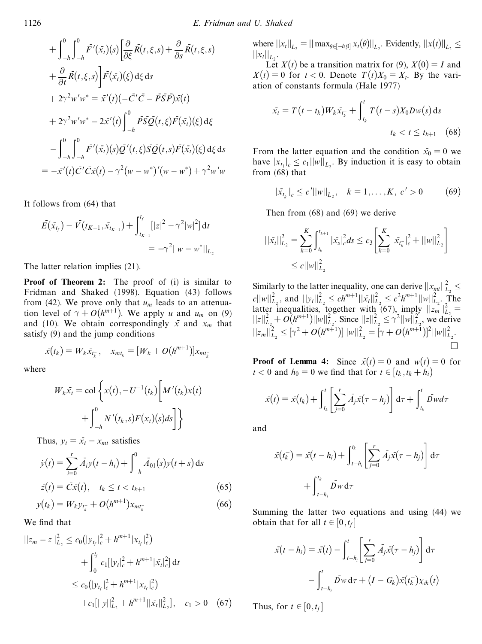$$
+\int_{-h}^{0}\int_{-h}^{0} \bar{F}'(\bar{x}_t)(s)\left[\frac{\partial}{\partial \xi}\bar{R}(t,\xi,s)+\frac{\partial}{\partial s}\bar{R}(t,\xi,s)\right] \n+\frac{\partial}{\partial t}\bar{R}(t,\xi,s)\left[\bar{F}(\bar{x}_t)(\xi)\,d\xi\,ds\right. \n+2\gamma^2w'w^* = \bar{x}'(t)(-\bar{C}'\bar{C}-\bar{P}\bar{S}\bar{P})\bar{x}(t) \n+2\gamma^2w'w^* - 2\bar{x}'(t)\int_{-h}^{0}\bar{P}\bar{S}\bar{Q}(t,\xi)\bar{F}(\bar{x}_t)(\xi)\,d\xi \n-\int_{-h}^{0}\int_{-h}^{0}\bar{F}'(\bar{x}_t)(s)\bar{Q}'(t,\xi)\bar{S}\bar{Q}(t,s)\bar{F}(\bar{x}_t)(\xi)\,d\xi\,ds \n= -\bar{x}'(t)\bar{C}'\bar{C}\bar{x}(t)-\gamma^2(w-w^*)'(w-w^*) + \gamma^2w'w
$$

It follows from (64) that

$$
\bar{E}(\bar{x}_{t_f}) - \bar{V}(t_{K-1}, \bar{x}_{t_{K-1}}) + \int_{t_{K-1}}^{t_f} [|z|^2 - \gamma^2 |w|^2] dt
$$
  
= -\gamma^2 ||w - w^\*||\_{L\_2}

The latter relation implies (21).

**Proof of Theorem 2:** The proof of (i) is similar to Fridman and Shaked (1998). Equation (43) follows from (42). We prove only that  $u_m$  leads to an attenuation level of  $\gamma + O(h^{m+1})$ . We apply *u* and *u<sub>m</sub>* on (9) and (10). We obtain correspondingly  $\bar{x}$  and  $x_m$  that satisfy (9) and the jump conditions

$$
\bar{x}(t_k) = W_k \bar{x}_{t_k^-}, \quad x_{mt_k} = [W_k + O(h^{m+1})]x_{mt_k^-}
$$

where

$$
W_k \bar{x}_t = \text{col}\left\{x(t), -U^{-1}(t_k)\bigg[M'(t_k)x(t)\bigg] + \int_{-h}^0 N'(t_k,s)F(x_t)(s)ds\bigg]\right\}
$$

Thus,  $y_t = \bar{x}_t - x_{mt}$  satisfies

$$
\dot{y}(t) = \sum_{i=0}^{r} \bar{A}_{i} y(t - h_{i}) + \int_{-h}^{0} \bar{A}_{01}(s) y(t + s) ds
$$
  

$$
\bar{z}(t) = \bar{C} \bar{x}(t), \quad t_{k} \le t < t_{k+1}
$$
 (65)

$$
y(t_k) = W_k y_{t_k^-} + O(h^{m+1}) x_{m t_k^-}
$$
 (66)

We find that

$$
||z_m - z||_{L_2}^2 \le c_0 (|y_{t_f}|_c^2 + h^{m+1} |x_{t_f}|_c^2)
$$
  
+ 
$$
\int_0^{t_f} c_1 [|y_t|_c^2 + h^{m+1} |x_t|_c^2] dt
$$
  

$$
\le c_0 (|y_{t_f}|_c^2 + h^{m+1} |x_{t_f}|_c^2)
$$
  
+ 
$$
c_1 [||y||_{L_2}^2 + h^{m+1} ||\bar{x}_t||_{L_2}^2], \quad c_1 > 0 \quad (67)
$$

where  $||x_t||_{L_2} = ||\max_{\theta \in [-h,0]} x_t(\theta)||_{L_2}$ . Evidently,  $||x(t)||_{L_2} \le$  $\|x_t\|_{L_2}.$ 

Let  $X(t)$  be a transition matrix for (9),  $X(0) = I$  and  $X(t) = 0$  for  $t < 0$ . Denote  $T(t)X_0 = X_t$ . By the variation of constants formula (Hale 1977)

$$
\bar{x_t} = T(t - t_k)W_k \bar{x_{t_k}} + \int_{t_k}^t T(t - s)X_0 D w(s) ds
$$

$$
t_k < t \le t_{k+1} \quad (68)
$$

From the latter equation and the condition  $\bar{x}_0 = 0$  we have  $|x_{t_1}^{-}|_c \leq c_1 ||w||_{L_2}$ . By induction it is easy to obtain from (68) that

$$
|\bar{x}_{t_k^-}|_c \le c' ||w||_{L_2}, \quad k = 1, \dots, K, \ c' > 0 \tag{69}
$$

Then from (68) and (69) we derive

$$
\begin{aligned} ||\bar{x}_t||_{L_2}^2 &= \sum_{k=0}^K \int_{t_k}^{t_{k+1}} |\bar{x}_s|_c^2 ds \le c_3 \left[ \sum_{k=0}^K |\bar{x}_{t_k^-}|_c^2 + ||w||_{L_2}^2 \right] \\ &\le c ||w||_{L_2}^2 \end{aligned}
$$

Similarly to the latter inequality, one can derive  $||x_{mt}||_{L_2}^2 \le c||w||_{L_2}^2$ , and  $||y_t||_{L_2}^2 \le ch^{m+1}||\bar{x}_t||_{L_2}^2 \le c^2 h^{m+1}||w||_{L_2}^2$ . The latter inequalities, together with (67), imply  $||z_n||_{L_2}^2 = ||z||_{L_2}^2 + O(h^{m+1})||w||_{L_2}^2$ . Since  $||z||_{L_2}^2 \le \gamma^2 ||w||_{L_2}^2$ , we derive  $||z_m||_{L_2}^2 \leq [\gamma^2 + O(h^{m+1})] ||w||_{L_2}^2 = [\gamma + O(h^{m+1})]^2 ||w||_{L_2}^2.$  $\Box$ 

**Proof** of **Lemma** 4: Since  $\bar{x}(t) = 0$  and  $w(t) = 0$  for  $t < 0$  and  $h_0 = 0$  we find that for  $t \in [t_k, t_k + h_i]$ 

$$
\bar{x}(t) = \bar{x}(t_k) + \int_{t_k}^{t} \left[ \sum_{j=0}^{r} \bar{A}_j \bar{x}(\tau - h_j) \right] d\tau + \int_{t_k}^{t} \bar{D}w d\tau
$$

and

$$
\bar{x}(t_k^-) = \bar{x}(t - h_i) + \int_{t - h_i}^{t_k} \left[ \sum_{j=0}^r \bar{A}_j \bar{x}(\tau - h_j) \right] d\tau
$$

$$
+ \int_{t - h_i}^{t_k} \bar{D}_W d\tau
$$

Summing the latter two equations and using (44) we obtain that for all  $t \in [0, t_f]$ 

$$
\bar{x}(t-h_i) = \bar{x}(t) - \int_{t-h_i}^t \left[ \sum_{j=0}^r \bar{A}_j \bar{x}(\tau-h_j) \right] d\tau
$$

$$
- \int_{t-h_i}^t \bar{D}w d\tau + (I-G_k) \bar{x}(t_k) \chi_{ik}(t)
$$

Thus, for  $t \in [0, t_f]$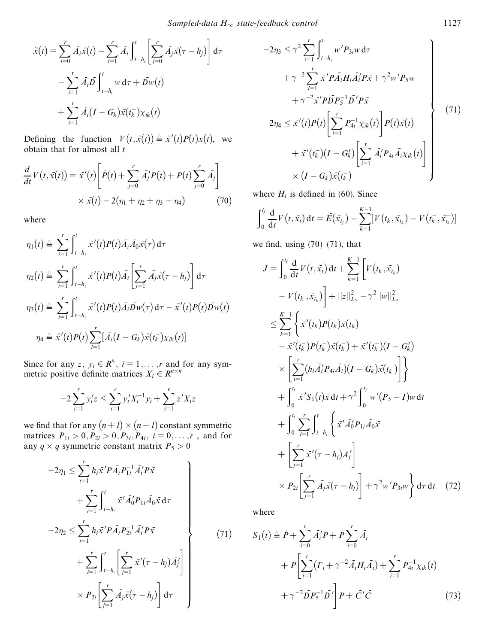$$
\begin{aligned} \n\ddot{x}(t) &= \sum_{i=0}^{r} \bar{A}_{i} \bar{x}(t) - \sum_{i=1}^{r} \bar{A}_{i} \int_{t-h_{i}}^{t} \left[ \sum_{j=0}^{r} \bar{A}_{j} \bar{x}(\tau - h_{j}) \right] \mathrm{d}\tau \\ \n&\quad - \sum_{i=1}^{r} \bar{A}_{i} \bar{D} \int_{t-h_{i}}^{t} w \, \mathrm{d}\tau + \bar{D}w(t) \\ \n&\quad + \sum_{i=1}^{r} \bar{A}_{i} (I - G_{k}) \bar{x}(t_{k}^{-}) \chi_{ik}(t) \n\end{aligned}
$$

Defining the function  $V(t, \bar{x}(t)) \triangleq \bar{x}'(t)P(t)x(t)$ , we obtain that for almost all *t*

$$
\frac{d}{dt}V(t, \bar{x}(t)) = \bar{x}'(t)\left[\dot{P}(t) + \sum_{j=0}^{r} \bar{A}'_{j}P(t) + P(t)\sum_{j=0}^{r} \bar{A}_{j}\right] \times \bar{x}(t) - 2(\eta_{1} + \eta_{2} + \eta_{3} - \eta_{4})
$$
\n(70)

where

$$
\eta_1(t) \triangleq \sum_{i=1}^r \int_{t-h_i}^t \bar{x}'(t) P(t) \bar{A}_i \bar{A}_0 \bar{x}(\tau) d\tau
$$
  

$$
\eta_2(t) \triangleq \sum_{i=1}^r \int_{t-h_i}^t \bar{x}'(t) P(t) \bar{A}_i \left[ \sum_{j=1}^r \bar{A}_j \bar{x}(\tau - h_j) \right] d\tau
$$
  

$$
\eta_3(t) \triangleq \sum_{i=1}^r \int_{t-h_i}^t \bar{x}'(t) P(t) \bar{A}_i \bar{D}_W(\tau) d\tau - \bar{x}'(t) P(t) \bar{D}_W(t)
$$
  

$$
\eta_4 \triangleq \bar{x}'(t) P(t) \sum_{i=1}^r [\bar{A}_i (I - G_k) \bar{x}(t_k) \chi_{ik}(t)]
$$

Since for any *z*,  $y_i \in \mathbb{R}^n$ ,  $i = 1, \ldots, r$  and for any symmetric positive definite matrices  $X_i \in R^{n \times n}$ 

$$
-2\sum_{i=1}^{r} y'_i z \le \sum_{i=1}^{r} y'_i X_i^{-1} y_i + \sum_{i=1}^{r} z' X_i z
$$

we find that for any  $(n + l) \times (n + l)$  constant symmetric matrices  $P_{1i} > 0, P_{2i} > 0, P_{3i}, P_{4i}, i = 0, ..., r$ , and for any  $q \times q$  symmetric constant matrix  $P_5 > 0$ 

$$
-2\eta_{1} \leq \sum_{i=1}^{r} h_{i}\bar{x}^{\prime}P\bar{A}_{i}P_{1i}^{-1}\bar{A}_{i}^{\prime}P\bar{x} + \sum_{i=1}^{r} \int_{t-h_{i}}^{t} \bar{x}^{\prime}\bar{A}_{0}^{\prime}P_{1i}\bar{A}_{0}\bar{x} d\tau + 2\eta_{2} \leq \sum_{i=1}^{r} h_{i}\bar{x}^{\prime}P\bar{A}_{i}P_{2i}^{-1}\bar{A}_{i}^{\prime}P\bar{x} + \sum_{i=1}^{r} \int_{t-h_{i}}^{t} \left[ \sum_{j=1}^{r} \bar{x}^{\prime}(\tau - h_{j})\bar{A}_{j}^{\prime} \right]
$$
(71)

 $\left[\sum_{j=1}^r \bar{A}_j \bar{x}(\tau - h_j)\right] d\tau$ 

 $d\tau$ 

 $\int$ 

 $\times P_{2i}$  $\sum^r$ 

$$
-2\eta_3 \leq \gamma^2 \sum_{i=1}^r \int_{t-h_i}^t w' P_{3i}w \, d\tau + \gamma^{-2} \sum_{i=1}^r \bar{x}' P \bar{A}_i H_i \bar{A}_i' P \bar{x} + \gamma^2 w' P_5 w + \gamma^{-2} \bar{x}' P \bar{D} P_5^{-1} \bar{D}' P \bar{x} 2\eta_4 \leq \bar{x}'(t) P(t) \left[ \sum_{i=1}^r P_{4i}^{-1} \chi_{ik}(t) \right] P(t) \bar{x}(t) + \bar{x}'(t_k^-)(I - G_k') \left[ \sum_{i=1}^r \bar{A}_i' P_{4i} \bar{A}_i \chi_{ik}(t) \right] \times (I - G_k) \bar{x}(t_k^-)
$$
(1)

where  $H_i$  is defined in (60). Since

$$
\int_0^{t_f} \frac{d}{dt} V(t, \bar{x}_t) dt = \bar{E}(\bar{x}_{t_f}) - \sum_{k=1}^{K-1} [V(t_k, \bar{x}_{t_k}) - V(t_k^-, \bar{x}_{t_k})]
$$

we find, using  $(70)$ – $(71)$ , that

$$
J = \int_{0}^{t_{f}} \frac{d}{dt} V(t, \bar{x}_{t}) dt + \sum_{k=1}^{K-1} \left[ V(t_{k}, \bar{x}_{t_{k}}) - V(t_{k}^{-}, \bar{x}_{t_{k}}^{-}) \right] + ||z||_{L_{2}}^{2} - \gamma^{2}||w||_{L_{2}}^{2}
$$
  
\n
$$
\leq \sum_{k=1}^{K-1} \left\{ \bar{x}'(t_{k}) P(t_{k}) \bar{x}(t_{k}) - \bar{x}'(t_{k}^{-}) P(t_{k}^{-}) \bar{x}(t_{k}^{-}) + \bar{x}'(t_{k}^{-}) (I - G_{k}^{\prime}) \right\}
$$
  
\n
$$
\times \left[ \sum_{i=1}^{r} (h_{i} \bar{A}_{i}^{\prime} P_{4i} \bar{A}_{i}) (I - G_{k}) \bar{x}(t_{k}^{-}) \right] \right\}
$$
  
\n
$$
+ \int_{0}^{t_{f}} \bar{x}' S_{1}(t) \bar{x} dt + \gamma^{2} \int_{0}^{t_{f}} w'(P_{5} - I) w dt
$$
  
\n
$$
+ \int_{0}^{t_{f}} \sum_{i=1}^{r} \int_{t-h_{i}}^{t} \left\{ \bar{x}' \bar{A}_{0}^{\prime} P_{1i} \bar{A}_{0} \bar{x} + \left[ \sum_{j=1}^{r} \bar{x}'(T - h_{j}) A_{j}^{\prime} \right] \right\}
$$
  
\n
$$
\times P_{2i} \left[ \sum_{j=1}^{r} \bar{A}_{j} \bar{x}(T - h_{j}) \right] + \gamma^{2} w' P_{3i} w \right\} d\tau dt \quad (72)
$$

where

$$
S_1(t) \triangleq \dot{P} + \sum_{i=0}^r \bar{A}_i' P + P \sum_{i=0}^r \bar{A}_i + P \bigg[ \sum_{i=1}^r (\Gamma_i + \gamma^{-2} \bar{A}_i H_i \bar{A}_i) + \sum_{i=1}^r P_{4i}^{-1} \chi_{ik}(t) + \gamma^{-2} \bar{D} P_5^{-1} \bar{D}' \bigg] P + \bar{C}' \bar{C}
$$
(73)